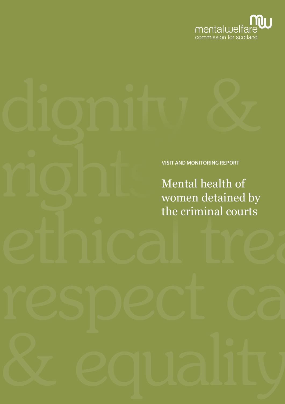

VISIT AND MONITORING REPORT

Mental health of women detained by the criminal courts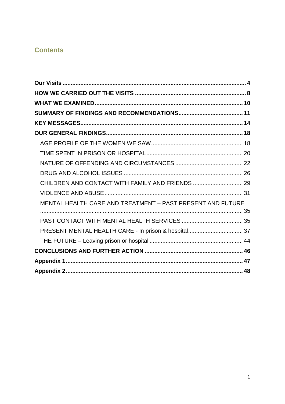# **Contents**

| MENTAL HEALTH CARE AND TREATMENT - PAST PRESENT AND FUTURE |  |
|------------------------------------------------------------|--|
|                                                            |  |
|                                                            |  |
| PRESENT MENTAL HEALTH CARE - In prison & hospital 37       |  |
|                                                            |  |
|                                                            |  |
|                                                            |  |
|                                                            |  |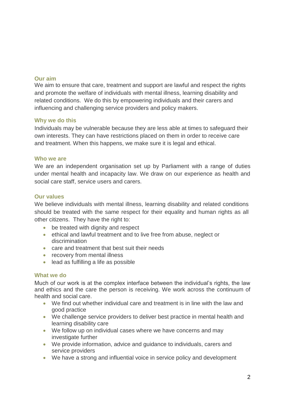### **Our aim**

We aim to ensure that care, treatment and support are lawful and respect the rights and promote the welfare of individuals with mental illness, learning disability and related conditions. We do this by empowering individuals and their carers and influencing and challenging service providers and policy makers.

### **Why we do this**

Individuals may be vulnerable because they are less able at times to safeguard their own interests. They can have restrictions placed on them in order to receive care and treatment. When this happens, we make sure it is legal and ethical.

### **Who we are**

We are an independent organisation set up by Parliament with a range of duties under mental health and incapacity law. We draw on our experience as health and social care staff, service users and carers.

### **Our values**

We believe individuals with mental illness, learning disability and related conditions should be treated with the same respect for their equality and human rights as all other citizens. They have the right to:

- be treated with dignity and respect
- ethical and lawful treatment and to live free from abuse, neglect or discrimination
- care and treatment that best suit their needs
- recovery from mental illness
- lead as fulfilling a life as possible

### **What we do**

Much of our work is at the complex interface between the individual's rights, the law and ethics and the care the person is receiving. We work across the continuum of health and social care.

- We find out whether individual care and treatment is in line with the law and good practice
- We challenge service providers to deliver best practice in mental health and learning disability care
- We follow up on individual cases where we have concerns and may investigate further
- We provide information, advice and guidance to individuals, carers and service providers
- We have a strong and influential voice in service policy and development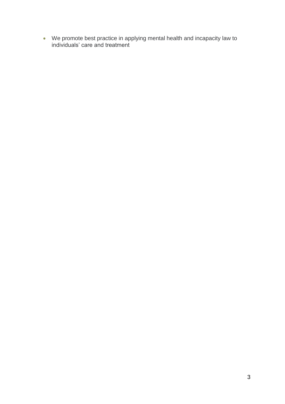We promote best practice in applying mental health and incapacity law to individuals' care and treatment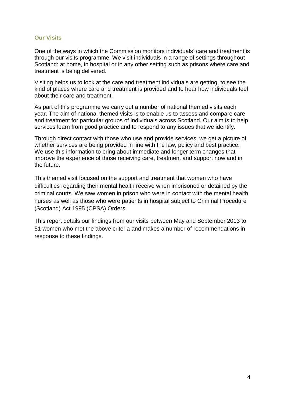### <span id="page-4-0"></span>**Our Visits**

One of the ways in which the Commission monitors individuals' care and treatment is through our visits programme. We visit individuals in a range of settings throughout Scotland: at home, in hospital or in any other setting such as prisons where care and treatment is being delivered.

Visiting helps us to look at the care and treatment individuals are getting, to see the kind of places where care and treatment is provided and to hear how individuals feel about their care and treatment.

As part of this programme we carry out a number of national themed visits each year. The aim of national themed visits is to enable us to assess and compare care and treatment for particular groups of individuals across Scotland. Our aim is to help services learn from good practice and to respond to any issues that we identify.

Through direct contact with those who use and provide services, we get a picture of whether services are being provided in line with the law, policy and best practice. We use this information to bring about immediate and longer term changes that improve the experience of those receiving care, treatment and support now and in the future.

This themed visit focused on the support and treatment that women who have difficulties regarding their mental health receive when imprisoned or detained by the criminal courts. We saw women in prison who were in contact with the mental health nurses as well as those who were patients in hospital subject to Criminal Procedure (Scotland) Act 1995 (CPSA) Orders.

This report details our findings from our visits between May and September 2013 to 51 women who met the above criteria and makes a number of recommendations in response to these findings.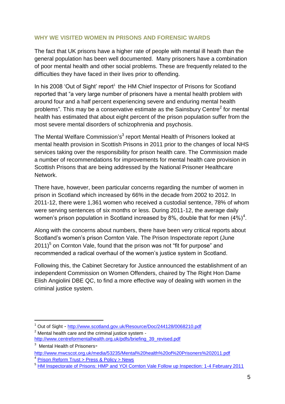## **WHY WE VISITED WOMEN IN PRISONS AND FORENSIC WARDS**

The fact that UK prisons have a higher rate of people with mental ill heath than the general population has been well documented. Many prisoners have a combination of poor mental health and other social problems. These are frequently related to the difficulties they have faced in their lives prior to offending.

In his 2008 'Out of Sight' report<sup>1</sup> the HM Chief Inspector of Prisons for Scotland reported that "a very large number of prisoners have a mental health problem with around four and a half percent experiencing severe and enduring mental health problems". This may be a conservative estimate as the Sainsbury Centre<sup>2</sup> for mental health has estimated that about eight percent of the prison population suffer from the most severe mental disorders of schizophrenia and psychosis.

The Mental Welfare Commission's<sup>3</sup> report Mental Health of Prisoners looked at mental health provision in Scottish Prisons in 2011 prior to the changes of local NHS services taking over the responsibility for prison health care. The Commission made a number of recommendations for improvements for mental health care provision in Scottish Prisons that are being addressed by the National Prisoner Healthcare Network.

There have, however, been particular concerns regarding the number of women in prison in Scotland which increased by 66% in the decade from 2002 to 2012. In 2011-12, there were 1,361 women who received a custodial sentence, 78% of whom were serving sentences of six months or less. During 2011-12, the average daily women's prison population in Scotland increased by 8%, double that for men  $(4%)^4$ .

Along with the concerns about numbers, there have been very critical reports about Scotland's women's prison Cornton Vale. The Prison Inspectorate report (June 2011)<sup>5</sup> on Cornton Vale, found that the prison was not "fit for purpose" and recommended a radical overhaul of the women's justice system in Scotland.

Following this, the Cabinet Secretary for Justice announced the establishment of an independent Commission on Women Offenders, chaired by The Right Hon Dame Elish Angiolini DBE QC, to find a more effective way of dealing with women in the criminal justice system.

1

<sup>1</sup> Out of Sight - <http://www.scotland.gov.uk/Resource/Doc/244128/0068210.pdf>

 $2$  Mental health care and the criminal justice system [http://www.centreformentalhealth.org.uk/pdfs/briefing\\_39\\_revised.pdf](http://www.centreformentalhealth.org.uk/pdfs/briefing_39_revised.pdf)

<sup>&</sup>lt;sup>3</sup> Mental Health of Prisoners-

<http://www.mwcscot.org.uk/media/53235/Mental%20health%20of%20Prisoners%202011.pdf> 4 [Prison Reform Trust > Press & Policy > News](http://www.prisonreformtrust.org.uk/PressPolicy/News/vw/1/ItemID/189)

<sup>5</sup> [HM Inspectorate of Prisons: HMP and YOI Cornton Vale Follow up Inspection: 1-4 February 2011](http://www.scotland.gov.uk/Publications/2011/06/09094746/0)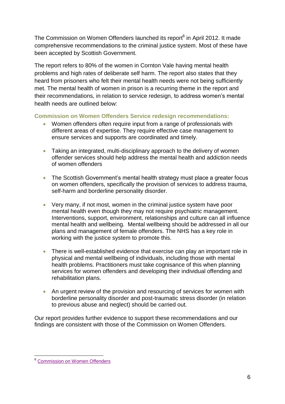The Commission on Women Offenders launched its report<sup>6</sup> in April 2012. It made comprehensive recommendations to the criminal justice system. Most of these have been accepted by Scottish Government.

The report refers to 80% of the women in Cornton Vale having mental health problems and high rates of deliberate self harm. The report also states that they heard from prisoners who felt their mental health needs were not being sufficiently met. The mental health of women in prison is a recurring theme in the report and their recommendations, in relation to service redesign, to address women's mental health needs are outlined below:

## **Commission on Women Offenders Service redesign recommendations:**

- Women offenders often require input from a range of professionals with different areas of expertise. They require effective case management to ensure services and supports are coordinated and timely.
- Taking an integrated, multi-disciplinary approach to the delivery of women offender services should help address the mental health and addiction needs of women offenders
- The Scottish Government's mental health strategy must place a greater focus on women offenders, specifically the provision of services to address trauma, self-harm and borderline personality disorder.
- Very many, if not most, women in the criminal justice system have poor mental health even though they may not require psychiatric management. Interventions, support, environment, relationships and culture can all influence mental health and wellbeing. Mental wellbeing should be addressed in all our plans and management of female offenders. The NHS has a key role in working with the justice system to promote this.
- There is well-established evidence that exercise can play an important role in physical and mental wellbeing of individuals, including those with mental health problems. Practitioners must take cognisance of this when planning services for women offenders and developing their individual offending and rehabilitation plans.
- An urgent review of the provision and resourcing of services for women with borderline personality disorder and post-traumatic stress disorder (in relation to previous abuse and neglect) should be carried out*.*

Our report provides further evidence to support these recommendations and our findings are consistent with those of the Commission on Women Offenders.

<sup>1</sup> <sup>6</sup> [Commission on Women Offenders](http://www.scotland.gov.uk/About/Review/commissiononwomenoffenders)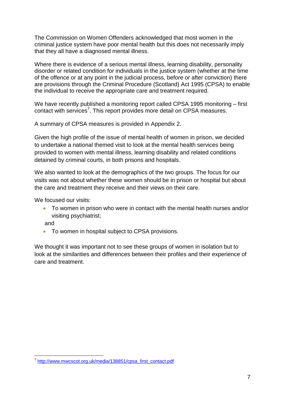The Commission on Women Offenders acknowledged that most women in the criminal justice system have poor mental health but this does not necessarily imply that they all have a diagnosed mental illness.

Where there is evidence of a serious mental illness, learning disability, personality disorder or related condition for individuals in the justice system (whether at the time of the offence or at any point in the judicial process, before or after conviction) there are provisions through the Criminal Procedure (Scotland) Act 1995 (CPSA) to enable the individual to receive the appropriate care and treatment required.

We have recently published a monitoring report called CPSA 1995 monitoring – first contact with services<sup>7</sup>. This report provides more detail on CPSA measures.

A summary of CPSA measures is provided in Appendix 2.

Given the high profile of the issue of mental health of women in prison, we decided to undertake a national themed visit to look at the mental health services being provided to women with mental illness, learning disability and related conditions detained by criminal courts, in both prisons and hospitals.

We also wanted to look at the demographics of the two groups. The focus for our visits was not about whether these women should be in prison or hospital but about the care and treatment they receive and their views on their care.

We focused our visits:

 To women in prison who were in contact with the mental health nurses and/or visiting psychiatrist;

and

1

To women in hospital subject to CPSA provisions.

We thought it was important not to see these groups of women in isolation but to look at the similarities and differences between their profiles and their experience of care and treatment.

<sup>&</sup>lt;sup>7</sup> [http://www.mwcscot.org.uk/media/138851/cpsa\\_first\\_contact.pdf](http://www.mwcscot.org.uk/media/138851/cpsa_first_contact.pdf)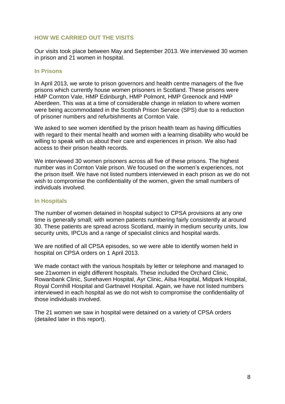## <span id="page-8-0"></span>**HOW WE CARRIED OUT THE VISITS**

Our visits took place between May and September 2013. We interviewed 30 women in prison and 21 women in hospital.

#### **In Prisons**

In April 2013, we wrote to prison governors and health centre managers of the five prisons which currently house women prisoners in Scotland. These prisons were HMP Cornton Vale, HMP Edinburgh, HMP Polmont, HMP Greenock and HMP Aberdeen. This was at a time of considerable change in relation to where women were being accommodated in the Scottish Prison Service (SPS) due to a reduction of prisoner numbers and refurbishments at Cornton Vale.

We asked to see women identified by the prison health team as having difficulties with regard to their mental health and women with a learning disability who would be willing to speak with us about their care and experiences in prison. We also had access to their prison health records.

We interviewed 30 women prisoners across all five of these prisons. The highest number was in Cornton Vale prison. We focused on the women's experiences, not the prison itself. We have not listed numbers interviewed in each prison as we do not wish to compromise the confidentiality of the women, given the small numbers of individuals involved.

### **In Hospitals**

The number of women detained in hospital subject to CPSA provisions at any one time is generally small; with women patients numbering fairly consistently at around 30. These patients are spread across Scotland, mainly in medium security units, low security units, IPCUs and a range of specialist clinics and hospital wards.

We are notified of all CPSA episodes, so we were able to identify women held in hospital on CPSA orders on 1 April 2013.

We made contact with the various hospitals by letter or telephone and managed to see 21women in eight different hospitals. These included the Orchard Clinic, Rowanbank Clinic, Surehaven Hospital, Ayr Clinic, Ailsa Hospital, Midpark Hospital, Royal Cornhill Hospital and Gartnavel Hospital. Again, we have not listed numbers interviewed in each hospital as we do not wish to compromise the confidentiality of those individuals involved.

The 21 women we saw in hospital were detained on a variety of CPSA orders (detailed later in this report).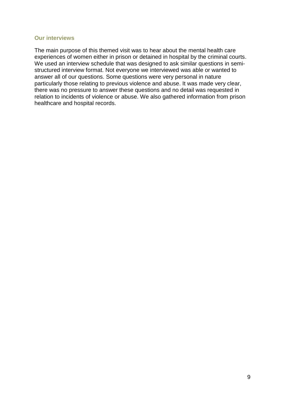#### **Our interviews**

The main purpose of this themed visit was to hear about the mental health care experiences of women either in prison or detained in hospital by the criminal courts. We used an interview schedule that was designed to ask similar questions in semistructured interview format. Not everyone we interviewed was able or wanted to answer all of our questions. Some questions were very personal in nature particularly those relating to previous violence and abuse. It was made very clear, there was no pressure to answer these questions and no detail was requested in relation to incidents of violence or abuse. We also gathered information from prison healthcare and hospital records.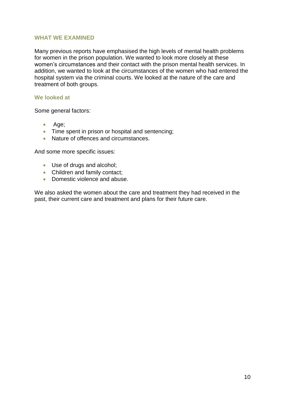### <span id="page-10-0"></span>**WHAT WE EXAMINED**

Many previous reports have emphasised the high levels of mental health problems for women in the prison population. We wanted to look more closely at these women's circumstances and their contact with the prison mental health services. In addition, we wanted to look at the circumstances of the women who had entered the hospital system via the criminal courts. We looked at the nature of the care and treatment of both groups.

#### **We looked at**

Some general factors:

- Age;
- Time spent in prison or hospital and sentencing;
- Nature of offences and circumstances.

And some more specific issues:

- Use of drugs and alcohol;
- Children and family contact:
- Domestic violence and abuse.

We also asked the women about the care and treatment they had received in the past, their current care and treatment and plans for their future care.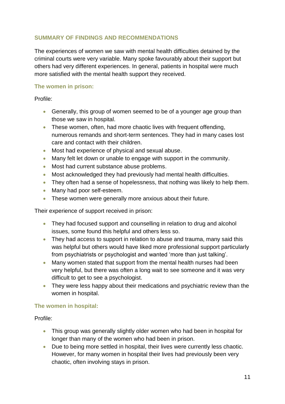## <span id="page-11-0"></span>**SUMMARY OF FINDINGS AND RECOMMENDATIONS**

The experiences of women we saw with mental health difficulties detained by the criminal courts were very variable. Many spoke favourably about their support but others had very different experiences. In general, patients in hospital were much more satisfied with the mental health support they received.

### **The women in prison:**

Profile:

- Generally, this group of women seemed to be of a younger age group than those we saw in hospital.
- These women, often, had more chaotic lives with frequent offending, numerous remands and short-term sentences. They had in many cases lost care and contact with their children.
- Most had experience of physical and sexual abuse.
- Many felt let down or unable to engage with support in the community.
- Most had current substance abuse problems.
- Most acknowledged they had previously had mental health difficulties.
- They often had a sense of hopelessness, that nothing was likely to help them.
- Many had poor self-esteem.
- These women were generally more anxious about their future.

Their experience of support received in prison:

- They had focused support and counselling in relation to drug and alcohol issues, some found this helpful and others less so.
- They had access to support in relation to abuse and trauma, many said this was helpful but others would have liked more professional support particularly from psychiatrists or psychologist and wanted 'more than just talking'.
- Many women stated that support from the mental health nurses had been very helpful, but there was often a long wait to see someone and it was very difficult to get to see a psychologist.
- They were less happy about their medications and psychiatric review than the women in hospital.

## **The women in hospital:**

Profile:

- This group was generally slightly older women who had been in hospital for longer than many of the women who had been in prison.
- Due to being more settled in hospital, their lives were currently less chaotic. However, for many women in hospital their lives had previously been very chaotic, often involving stays in prison.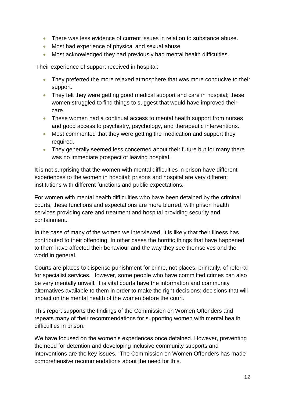- There was less evidence of current issues in relation to substance abuse.
- Most had experience of physical and sexual abuse
- Most acknowledged they had previously had mental health difficulties.

Their experience of support received in hospital:

- They preferred the more relaxed atmosphere that was more conducive to their support.
- They felt they were getting good medical support and care in hospital; these women struggled to find things to suggest that would have improved their care.
- These women had a continual access to mental health support from nurses and good access to psychiatry, psychology, and therapeutic interventions.
- Most commented that they were getting the medication and support they required.
- They generally seemed less concerned about their future but for many there was no immediate prospect of leaving hospital.

It is not surprising that the women with mental difficulties in prison have different experiences to the women in hospital; prisons and hospital are very different institutions with different functions and public expectations.

For women with mental health difficulties who have been detained by the criminal courts, these functions and expectations are more blurred, with prison health services providing care and treatment and hospital providing security and containment.

In the case of many of the women we interviewed, it is likely that their illness has contributed to their offending. In other cases the horrific things that have happened to them have affected their behaviour and the way they see themselves and the world in general.

Courts are places to dispense punishment for crime, not places, primarily, of referral for specialist services. However, some people who have committed crimes can also be very mentally unwell. It is vital courts have the information and community alternatives available to them in order to make the right decisions; decisions that will impact on the mental health of the women before the court.

This report supports the findings of the Commission on Women Offenders and repeats many of their recommendations for supporting women with mental health difficulties in prison.

We have focused on the women's experiences once detained. However, preventing the need for detention and developing inclusive community supports and interventions are the key issues. The Commission on Women Offenders has made comprehensive recommendations about the need for this.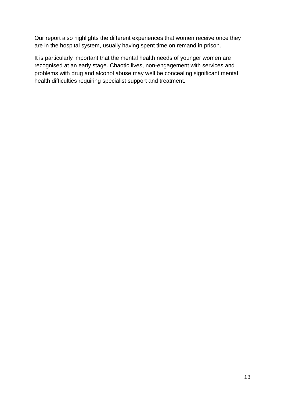Our report also highlights the different experiences that women receive once they are in the hospital system, usually having spent time on remand in prison.

It is particularly important that the mental health needs of younger women are recognised at an early stage. Chaotic lives, non-engagement with services and problems with drug and alcohol abuse may well be concealing significant mental health difficulties requiring specialist support and treatment.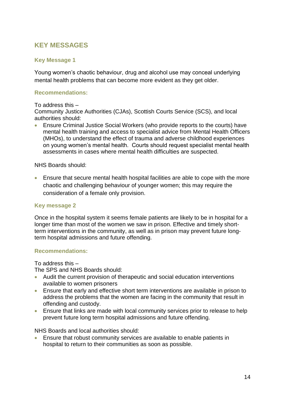# <span id="page-14-0"></span>**KEY MESSAGES**

## **Key Message 1**

Young women's chaotic behaviour, drug and alcohol use may conceal underlying mental health problems that can become more evident as they get older.

## **Recommendations:**

#### To address this –

Community Justice Authorities (CJAs), Scottish Courts Service (SCS), and local authorities should:

 Ensure Criminal Justice Social Workers (who provide reports to the courts) have mental health training and access to specialist advice from Mental Health Officers (MHOs), to understand the effect of trauma and adverse childhood experiences on young women's mental health. Courts should request specialist mental health assessments in cases where mental health difficulties are suspected.

### NHS Boards should:

 Ensure that secure mental health hospital facilities are able to cope with the more chaotic and challenging behaviour of younger women; this may require the consideration of a female only provision.

### **Key message 2**

Once in the hospital system it seems female patients are likely to be in hospital for a longer time than most of the women we saw in prison. Effective and timely shortterm interventions in the community, as well as in prison may prevent future longterm hospital admissions and future offending.

### **Recommendations:**

To address this –

The SPS and NHS Boards should:

- Audit the current provision of therapeutic and social education interventions available to women prisoners
- Ensure that early and effective short term interventions are available in prison to address the problems that the women are facing in the community that result in offending and custody.
- Ensure that links are made with local community services prior to release to help prevent future long term hospital admissions and future offending.

NHS Boards and local authorities should:

 Ensure that robust community services are available to enable patients in hospital to return to their communities as soon as possible.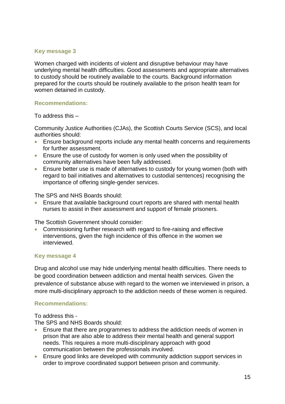### **Key message 3**

Women charged with incidents of violent and disruptive behaviour may have underlying mental health difficulties. Good assessments and appropriate alternatives to custody should be routinely available to the courts. Background information prepared for the courts should be routinely available to the prison health team for women detained in custody.

### **Recommendations:**

To address this –

Community Justice Authorities (CJAs), the Scottish Courts Service (SCS), and local authorities should:

- Ensure background reports include any mental health concerns and requirements for further assessment.
- Ensure the use of custody for women is only used when the possibility of community alternatives have been fully addressed.
- Ensure better use is made of alternatives to custody for young women (both with regard to bail initiatives and alternatives to custodial sentences) recognising the importance of offering single-gender services.

The SPS and NHS Boards should:

 Ensure that available background court reports are shared with mental health nurses to assist in their assessment and support of female prisoners.

The Scottish Government should consider:

 Commissioning further research with regard to fire-raising and effective interventions, given the high incidence of this offence in the women we interviewed.

### **Key message 4**

Drug and alcohol use may hide underlying mental health difficulties. There needs to be good coordination between addiction and mental health services. Given the prevalence of substance abuse with regard to the women we interviewed in prison, a more multi-disciplinary approach to the addiction needs of these women is required.

## **Recommendations:**

To address this -

The SPS and NHS Boards should:

- Ensure that there are programmes to address the addiction needs of women in prison that are also able to address their mental health and general support needs. This requires a more multi-disciplinary approach with good communication between the professionals involved.
- Ensure good links are developed with community addiction support services in order to improve coordinated support between prison and community.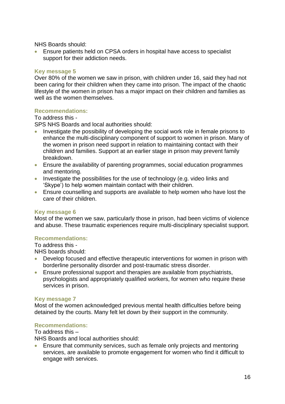NHS Boards should:

 Ensure patients held on CPSA orders in hospital have access to specialist support for their addiction needs.

### **Key message 5**

Over 80% of the women we saw in prison, with children under 16, said they had not been caring for their children when they came into prison. The impact of the chaotic lifestyle of the women in prison has a major impact on their children and families as well as the women themselves.

#### **Recommendations:**

#### To address this -

SPS NHS Boards and local authorities should:

- Investigate the possibility of developing the social work role in female prisons to enhance the multi-disciplinary component of support to women in prison. Many of the women in prison need support in relation to maintaining contact with their children and families. Support at an earlier stage in prison may prevent family breakdown.
- Ensure the availability of parenting programmes, social education programmes and mentoring.
- Investigate the possibilities for the use of technology (e.g. video links and 'Skype') to help women maintain contact with their children.
- Ensure counselling and supports are available to help women who have lost the care of their children.

#### **Key message 6**

Most of the women we saw, particularly those in prison, had been victims of violence and abuse. These traumatic experiences require multi-disciplinary specialist support.

### **Recommendations:**

To address this - NHS boards should:

- Develop focused and effective therapeutic interventions for women in prison with borderline personality disorder and post-traumatic stress disorder.
- Ensure professional support and therapies are available from psychiatrists, psychologists and appropriately qualified workers, for women who require these services in prison.

#### **Key message 7**

Most of the women acknowledged previous mental health difficulties before being detained by the courts. Many felt let down by their support in the community.

#### **Recommendations:**

To address this –

NHS Boards and local authorities should:

 Ensure that community services, such as female only projects and mentoring services, are available to promote engagement for women who find it difficult to engage with services.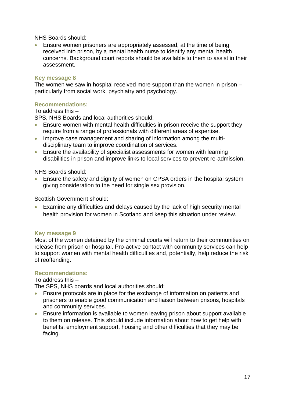NHS Boards should:

 Ensure women prisoners are appropriately assessed, at the time of being received into prison, by a mental health nurse to identify any mental health concerns. Background court reports should be available to them to assist in their assessment.

### **Key message 8**

The women we saw in hospital received more support than the women in prison – particularly from social work, psychiatry and psychology.

## **Recommendations:**

To address this –

SPS, NHS Boards and local authorities should:

- Ensure women with mental health difficulties in prison receive the support they require from a range of professionals with different areas of expertise.
- Improve case management and sharing of information among the multidisciplinary team to improve coordination of services.
- Ensure the availability of specialist assessments for women with learning disabilities in prison and improve links to local services to prevent re-admission.

NHS Boards should:

 Ensure the safety and dignity of women on CPSA orders in the hospital system giving consideration to the need for single sex provision.

Scottish Government should:

 Examine any difficulties and delays caused by the lack of high security mental health provision for women in Scotland and keep this situation under review.

### **Key message 9**

Most of the women detained by the criminal courts will return to their communities on release from prison or hospital. Pro-active contact with community services can help to support women with mental health difficulties and, potentially, help reduce the risk of reoffending.

### **Recommendations:**

To address this –

The SPS, NHS boards and local authorities should:

- Ensure protocols are in place for the exchange of information on patients and prisoners to enable good communication and liaison between prisons, hospitals and community services.
- Ensure information is available to women leaving prison about support available to them on release. This should include information about how to get help with benefits, employment support, housing and other difficulties that they may be facing.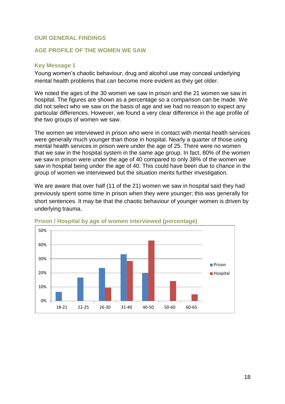### <span id="page-18-0"></span>**OUR GENERAL FINDINGS**

### <span id="page-18-1"></span>**AGE PROFILE OF THE WOMEN WE SAW**

#### **Key Message 1**

Young women's chaotic behaviour, drug and alcohol use may conceal underlying mental health problems that can become more evident as they get older.

We noted the ages of the 30 women we saw in prison and the 21 women we saw in hospital. The figures are shown as a percentage so a comparison can be made. We did not select who we saw on the basis of age and we had no reason to expect any particular differences. However, we found a very clear difference in the age profile of the two groups of women we saw.

The women we interviewed in prison who were in contact with mental health services were generally much younger than those in hospital. Nearly a quarter of those using mental health services in prison were under the age of 25. There were no women that we saw in the hospital system in the same age group. In fact, 80% of the women we saw in prison were under the age of 40 compared to only 38% of the women we saw in hospital being under the age of 40. This could have been due to chance in the group of women we interviewed but the situation merits further investigation.

We are aware that over half (11 of the 21) women we saw in hospital said they had previously spent some time in prison when they were younger; this was generally for short sentences. It may be that the chaotic behaviour of younger women is driven by underlying trauma.



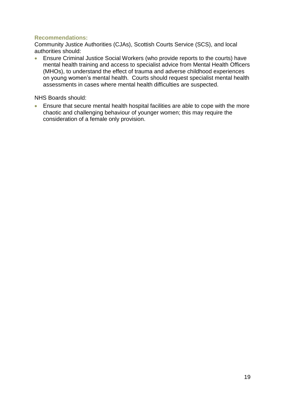## **Recommendations:**

Community Justice Authorities (CJAs), Scottish Courts Service (SCS), and local authorities should:

 Ensure Criminal Justice Social Workers (who provide reports to the courts) have mental health training and access to specialist advice from Mental Health Officers (MHOs), to understand the effect of trauma and adverse childhood experiences on young women's mental health. Courts should request specialist mental health assessments in cases where mental health difficulties are suspected.

NHS Boards should:

 Ensure that secure mental health hospital facilities are able to cope with the more chaotic and challenging behaviour of younger women; this may require the consideration of a female only provision.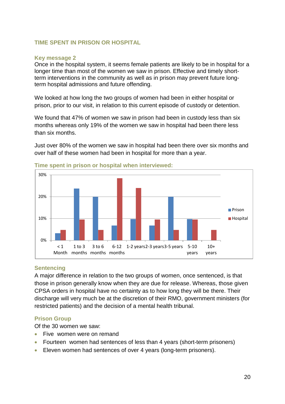### <span id="page-20-0"></span>**TIME SPENT IN PRISON OR HOSPITAL**

#### **Key message 2**

Once in the hospital system, it seems female patients are likely to be in hospital for a longer time than most of the women we saw in prison. Effective and timely shortterm interventions in the community as well as in prison may prevent future longterm hospital admissions and future offending.

We looked at how long the two groups of women had been in either hospital or prison, prior to our visit, in relation to this current episode of custody or detention.

We found that 47% of women we saw in prison had been in custody less than six months whereas only 19% of the women we saw in hospital had been there less than six months.

Just over 80% of the women we saw in hospital had been there over six months and over half of these women had been in hospital for more than a year.



#### **Time spent in prison or hospital when interviewed:**

### **Sentencing**

A major difference in relation to the two groups of women, once sentenced, is that those in prison generally know when they are due for release. Whereas, those given CPSA orders in hospital have no certainty as to how long they will be there. Their discharge will very much be at the discretion of their RMO, government ministers (for restricted patients) and the decision of a mental health tribunal.

### **Prison Group**

Of the 30 women we saw:

- Five women were on remand
- Fourteen women had sentences of less than 4 years (short-term prisoners)
- Eleven women had sentences of over 4 years (long-term prisoners).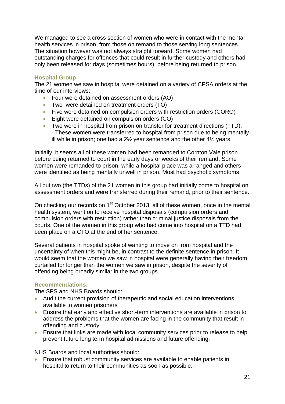We managed to see a cross section of women who were in contact with the mental health services in prison, from those on remand to those serving long sentences. The situation however was not always straight forward. Some women had outstanding charges for offences that could result in further custody and others had only been released for days (sometimes hours), before being returned to prison.

### **Hospital Group**

The 21 women we saw in hospital were detained on a variety of CPSA orders at the time of our interviews:

- Four were detained on assessment orders (AO)
- Two were detained on treatment orders (TO)
- Five were detained on compulsion orders with restriction orders (CORO)
- **Eight were detained on compulsion orders (CO)**
- Two were in hospital from prison on transfer for treatment directions (TTD). - These women were transferred to hospital from prison due to being mentally ill while in prison; one had a 2½ year sentence and the other 4½ years

Initially, it seems all of these women had been remanded to Cornton Vale prison before being returned to court in the early days or weeks of their remand. Some women were remanded to prison, while a hospital place was arranged and others were identified as being mentally unwell in prison. Most had psychotic symptoms.

All but two (the TTDs) of the 21 women in this group had initially come to hospital on assessment orders and were transferred during their remand, prior to their sentence.

On checking our records on 1<sup>st</sup> October 2013, all of these women, once in the mental health system, went on to receive hospital disposals (compulsion orders and compulsion orders with restriction) rather than criminal justice disposals from the courts. One of the women in this group who had come into hospital on a TTD had been place on a CTO at the end of her sentence.

Several patients in hospital spoke of wanting to move on from hospital and the uncertainty of when this might be, in contrast to the definite sentence in prison. It would seem that the women we saw in hospital were generally having their freedom curtailed for longer than the women we saw in prison, despite the severity of offending being broadly similar in the two groups.

### **Recommendations:**

The SPS and NHS Boards should:

- Audit the current provision of therapeutic and social education interventions available to women prisoners
- Ensure that early and effective short-term interventions are available in prison to address the problems that the women are facing in the community that result in offending and custody.
- Ensure that links are made with local community services prior to release to help prevent future long term hospital admissions and future offending.

NHS Boards and local authorities should:

 Ensure that robust community services are available to enable patients in hospital to return to their communities as soon as possible.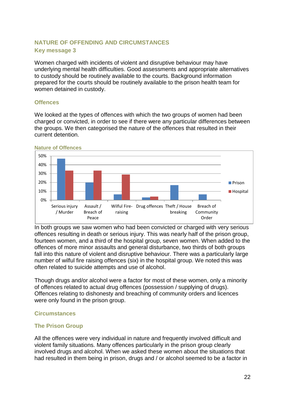## <span id="page-22-0"></span>**NATURE OF OFFENDING AND CIRCUMSTANCES Key message 3**

Women charged with incidents of violent and disruptive behaviour may have underlying mental health difficulties. Good assessments and appropriate alternatives to custody should be routinely available to the courts. Background information prepared for the courts should be routinely available to the prison health team for women detained in custody.

### **Offences**

We looked at the types of offences with which the two groups of women had been charged or convicted, in order to see if there were any particular differences between the groups. We then categorised the nature of the offences that resulted in their current detention.



#### **Nature of Offences**

In both groups we saw women who had been convicted or charged with very serious offences resulting in death or serious injury. This was nearly half of the prison group, fourteen women, and a third of the hospital group, seven women. When added to the offences of more minor assaults and general disturbance, two thirds of both groups fall into this nature of violent and disruptive behaviour. There was a particularly large number of wilful fire raising offences (six) in the hospital group. We noted this was often related to suicide attempts and use of alcohol.

Though drugs and/or alcohol were a factor for most of these women, only a minority of offences related to actual drug offences (possession / supplying of drugs). Offences relating to dishonesty and breaching of community orders and licences were only found in the prison group.

### **Circumstances**

## **The Prison Group**

All the offences were very individual in nature and frequently involved difficult and violent family situations. Many offences particularly in the prison group clearly involved drugs and alcohol. When we asked these women about the situations that had resulted in them being in prison, drugs and / or alcohol seemed to be a factor in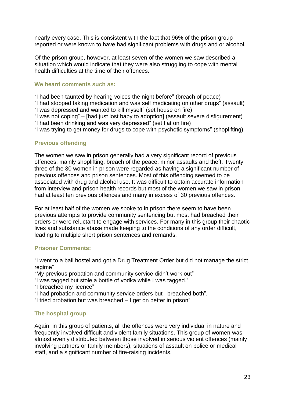nearly every case. This is consistent with the fact that 96% of the prison group reported or were known to have had significant problems with drugs and or alcohol.

Of the prison group, however, at least seven of the women we saw described a situation which would indicate that they were also struggling to cope with mental health difficulties at the time of their offences.

### **We heard comments such as:**

"I had been taunted by hearing voices the night before" (breach of peace)

"I had stopped taking medication and was self medicating on other drugs" (assault) "I was depressed and wanted to kill myself" (set house on fire)

"I was not coping" – [had just lost baby to adoption] (assault severe disfigurement)

"I had been drinking and was very depressed" (set flat on fire)

"I was trying to get money for drugs to cope with psychotic symptoms" (shoplifting)

### **Previous offending**

The women we saw in prison generally had a very significant record of previous offences; mainly shoplifting, breach of the peace, minor assaults and theft. Twenty three of the 30 women in prison were regarded as having a significant number of previous offences and prison sentences. Most of this offending seemed to be associated with drug and alcohol use. It was difficult to obtain accurate information from interview and prison health records but most of the women we saw in prison had at least ten previous offences and many in excess of 30 previous offences.

For at least half of the women we spoke to in prison there seem to have been previous attempts to provide community sentencing but most had breached their orders or were reluctant to engage with services. For many in this group their chaotic lives and substance abuse made keeping to the conditions of any order difficult, leading to multiple short prison sentences and remands.

### **Prisoner Comments:**

"I went to a bail hostel and got a Drug Treatment Order but did not manage the strict regime"

"My previous probation and community service didn't work out"

- "I was tagged but stole a bottle of vodka while I was tagged."
- "I breached my licence"
- "I had probation and community service orders but I breached both".
- "I tried probation but was breached I get on better in prison"

## **The hospital group**

Again, in this group of patients, all the offences were very individual in nature and frequently involved difficult and violent family situations. This group of women was almost evenly distributed between those involved in serious violent offences (mainly involving partners or family members), situations of assault on police or medical staff, and a significant number of fire-raising incidents.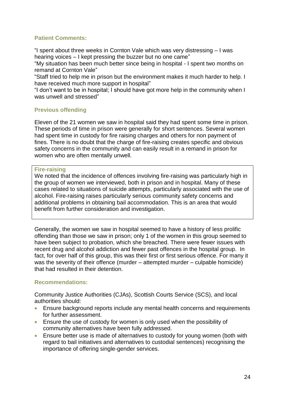## **Patient Comments:**

"I spent about three weeks in Cornton Vale which was very distressing – I was hearing voices – I kept pressing the buzzer but no one came"

"My situation has been much better since being in hospital - I spent two months on remand at Cornton Vale"

"Staff tried to help me in prison but the environment makes it much harder to help. I have received much more support in hospital"

"I don't want to be in hospital; I should have got more help in the community when I was unwell and stressed"

## **Previous offending**

Eleven of the 21 women we saw in hospital said they had spent some time in prison. These periods of time in prison were generally for short sentences. Several women had spent time in custody for fire raising charges and others for non payment of fines. There is no doubt that the charge of fire-raising creates specific and obvious safety concerns in the community and can easily result in a remand in prison for women who are often mentally unwell.

#### **Fire-raising**

We noted that the incidence of offences involving fire-raising was particularly high in the group of women we interviewed, both in prison and in hospital. Many of these cases related to situations of suicide attempts, particularly associated with the use of alcohol. Fire-raising raises particularly serious community safety concerns and additional problems in obtaining bail accommodation. This is an area that would benefit from further consideration and investigation.

Generally, the women we saw in hospital seemed to have a history of less prolific offending than those we saw in prison; only 1 of the women in this group seemed to have been subject to probation, which she breached. There were fewer issues with recent drug and alcohol addiction and fewer past offences in the hospital group. In fact, for over half of this group, this was their first or first serious offence. For many it was the severity of their offence (murder – attempted murder – culpable homicide) that had resulted in their detention.

### **Recommendations:**

Community Justice Authorities (CJAs), Scottish Courts Service (SCS), and local authorities should:

- Ensure background reports include any mental health concerns and requirements for further assessment.
- Ensure the use of custody for women is only used when the possibility of community alternatives have been fully addressed.
- Ensure better use is made of alternatives to custody for young women (both with regard to bail initiatives and alternatives to custodial sentences) recognising the importance of offering single-gender services.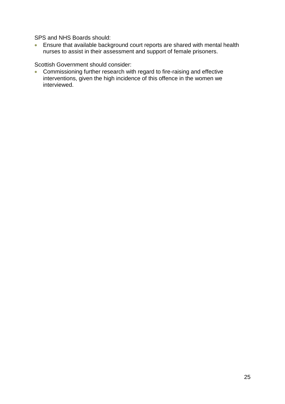SPS and NHS Boards should:

 Ensure that available background court reports are shared with mental health nurses to assist in their assessment and support of female prisoners.

Scottish Government should consider:

 Commissioning further research with regard to fire-raising and effective interventions, given the high incidence of this offence in the women we interviewed.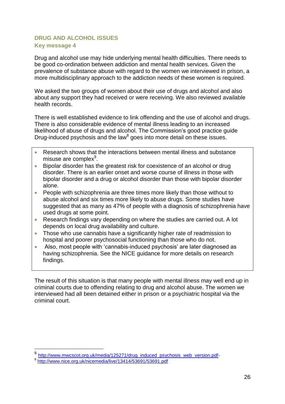## <span id="page-26-0"></span>**DRUG AND ALCOHOL ISSUES Key message 4**

Drug and alcohol use may hide underlying mental health difficulties. There needs to be good co-ordination between addiction and mental health services. Given the prevalence of substance abuse with regard to the women we interviewed in prison, a more multidisciplinary approach to the addiction needs of these women is required.

We asked the two groups of women about their use of drugs and alcohol and also about any support they had received or were receiving. We also reviewed available health records.

There is well established evidence to link offending and the use of alcohol and drugs. There is also considerable evidence of mental illness leading to an increased likelihood of abuse of drugs and alcohol. The Commission's good practice guide Drug-induced psychosis and the law<sup>8</sup> goes into more detail on these issues.

- Research shows that the interactions between mental illness and substance misuse are complex<sup>9</sup>.
- **Bipolar disorder has the greatest risk for coexistence of an alcohol or drug** disorder. There is an earlier onset and worse course of illness in those with bipolar disorder and a drug or alcohol disorder than those with bipolar disorder alone.
- People with schizophrenia are three times more likely than those without to abuse alcohol and six times more likely to abuse drugs. Some studies have suggested that as many as 47% of people with a diagnosis of schizophrenia have used drugs at some point.
- Research findings vary depending on where the studies are carried out. A lot depends on local drug availability and culture.
- Those who use cannabis have a significantly higher rate of readmission to hospital and poorer psychosocial functioning than those who do not.
- Also, most people with 'cannabis-induced psychosis' are later diagnosed as having schizophrenia. See the NICE guidance for more details on research findings.

The result of this situation is that many people with mental illness may well end up in criminal courts due to offending relating to drug and alcohol abuse. The women we interviewed had all been detained either in prison or a psychiatric hospital via the criminal court.

1

<sup>8</sup> [http://www.mwcscot.org.uk/media/125271/drug\\_induced\\_psychosis\\_web\\_version.pdf-](http://www.mwcscot.org.uk/media/125271/drug_induced_psychosis_web_version.pdf)

<sup>9</sup> <http://www.nice.org.uk/nicemedia/live/13414/53691/53691.pdf>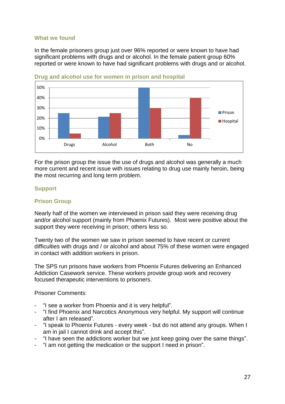### **What we found**

In the female prisoners group just over 96% reported or were known to have had significant problems with drugs and or alcohol. In the female patient group 60% reported or were known to have had significant problems with drugs and or alcohol.



**Drug and alcohol use for women in prison and hospital**

For the prison group the issue the use of drugs and alcohol was generally a much more current and recent issue with issues relating to drug use mainly heroin, being the most recurring and long term problem.

### **Support**

### **Prison Group**

Nearly half of the women we interviewed in prison said they were receiving drug and/or alcohol support (mainly from Phoenix Futures). Most were positive about the support they were receiving in prison; others less so.

Twenty two of the women we saw in prison seemed to have recent or current difficulties with drugs and / or alcohol and about 75% of these women were engaged in contact with addition workers in prison.

The SPS run prisons have workers from Phoenix Futures delivering an Enhanced Addiction Casework service. These workers provide group work and recovery focused therapeutic interventions to prisoners.

Prisoner Comments:

- "I see a worker from Phoenix and it is very helpful".
- "I find Phoenix and Narcotics Anonymous very helpful. My support will continue after I am released".
- "I speak to Phoenix Futures every week but do not attend any groups. When I am in jail I cannot drink and accept this".
- "I have seen the addictions worker but we just keep going over the same things".
- "I am not getting the medication or the support I need in prison".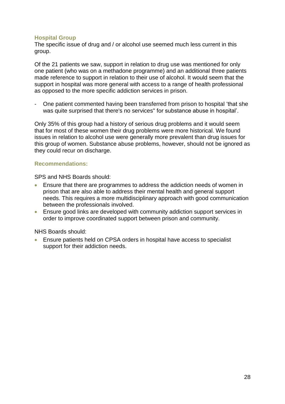### **Hospital Group**

The specific issue of drug and / or alcohol use seemed much less current in this group.

Of the 21 patients we saw, support in relation to drug use was mentioned for only one patient (who was on a methadone programme) and an additional three patients made reference to support in relation to their use of alcohol. It would seem that the support in hospital was more general with access to a range of health professional as opposed to the more specific addiction services in prison.

- One patient commented having been transferred from prison to hospital 'that she was quite surprised that there's no services" for substance abuse in hospital'.

Only 35% of this group had a history of serious drug problems and it would seem that for most of these women their drug problems were more historical. We found issues in relation to alcohol use were generally more prevalent than drug issues for this group of women. Substance abuse problems, however, should not be ignored as they could recur on discharge.

### **Recommendations:**

SPS and NHS Boards should:

- Ensure that there are programmes to address the addiction needs of women in prison that are also able to address their mental health and general support needs. This requires a more multidisciplinary approach with good communication between the professionals involved.
- Ensure good links are developed with community addiction support services in order to improve coordinated support between prison and community.

NHS Boards should:

 Ensure patients held on CPSA orders in hospital have access to specialist support for their addiction needs.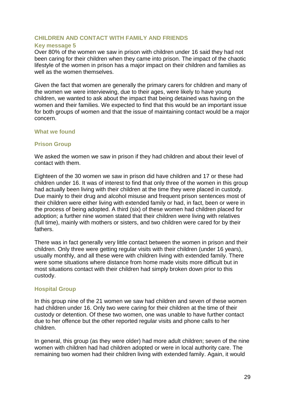### <span id="page-29-0"></span>**CHILDREN AND CONTACT WITH FAMILY AND FRIENDS**

#### **Key message 5**

Over 80% of the women we saw in prison with children under 16 said they had not been caring for their children when they came into prison. The impact of the chaotic lifestyle of the women in prison has a major impact on their children and families as well as the women themselves.

Given the fact that women are generally the primary carers for children and many of the women we were interviewing, due to their ages, were likely to have young children, we wanted to ask about the impact that being detained was having on the women and their families. We expected to find that this would be an important issue for both groups of women and that the issue of maintaining contact would be a major concern.

### **What we found**

### **Prison Group**

We asked the women we saw in prison if they had children and about their level of contact with them.

Eighteen of the 30 women we saw in prison did have children and 17 or these had children under 16. It was of interest to find that only three of the women in this group had actually been living with their children at the time they were placed in custody. Due mainly to their drug and alcohol misuse and frequent prison sentences most of their children were either living with extended family or had, in fact, been or were in the process of being adopted. A third (six) of these women had children placed for adoption; a further nine women stated that their children were living with relatives (full time), mainly with mothers or sisters, and two children were cared for by their fathers.

There was in fact generally very little contact between the women in prison and their children. Only three were getting regular visits with their children (under 16 years), usually monthly, and all these were with children living with extended family. There were some situations where distance from home made visits more difficult but in most situations contact with their children had simply broken down prior to this custody.

### **Hospital Group**

In this group nine of the 21 women we saw had children and seven of these women had children under 16. Only two were caring for their children at the time of their custody or detention. Of these two women, one was unable to have further contact due to her offence but the other reported regular visits and phone calls to her children.

In general, this group (as they were older) had more adult children; seven of the nine women with children had had children adopted or were in local authority care. The remaining two women had their children living with extended family. Again, it would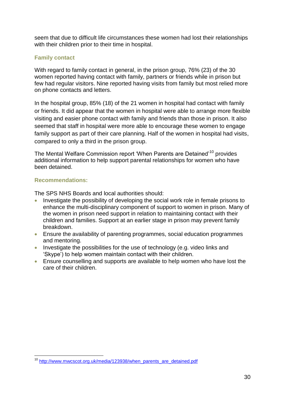seem that due to difficult life circumstances these women had lost their relationships with their children prior to their time in hospital.

## **Family contact**

With regard to family contact in general, in the prison group, 76% (23) of the 30 women reported having contact with family, partners or friends while in prison but few had regular visitors. Nine reported having visits from family but most relied more on phone contacts and letters.

In the hospital group, 85% (18) of the 21 women in hospital had contact with family or friends. It did appear that the women in hospital were able to arrange more flexible visiting and easier phone contact with family and friends than those in prison. It also seemed that staff in hospital were more able to encourage these women to engage family support as part of their care planning. Half of the women in hospital had visits, compared to only a third in the prison group.

The Mental Welfare Commission report 'When Parents are Detained'<sup>10</sup> provides additional information to help support parental relationships for women who have been detained.

## **Recommendations:**

The SPS NHS Boards and local authorities should:

- Investigate the possibility of developing the social work role in female prisons to enhance the multi-disciplinary component of support to women in prison. Many of the women in prison need support in relation to maintaining contact with their children and families. Support at an earlier stage in prison may prevent family breakdown.
- Ensure the availability of parenting programmes, social education programmes and mentoring.
- Investigate the possibilities for the use of technology (e.g. video links and 'Skype') to help women maintain contact with their children.
- Ensure counselling and supports are available to help women who have lost the care of their children.

<sup>1</sup> <sup>10</sup> [http://www.mwcscot.org.uk/media/123938/when\\_parents\\_are\\_detained.pdf](http://www.mwcscot.org.uk/media/123938/when_parents_are_detained.pdf)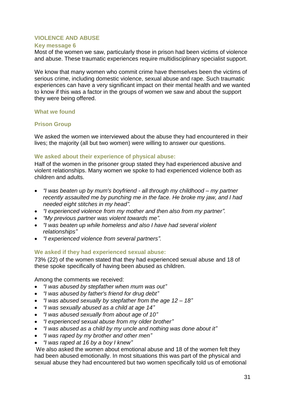#### <span id="page-31-0"></span>**VIOLENCE AND ABUSE**

#### **Key message 6**

Most of the women we saw, particularly those in prison had been victims of violence and abuse. These traumatic experiences require multidisciplinary specialist support.

We know that many women who commit crime have themselves been the victims of serious crime, including domestic violence, sexual abuse and rape. Such traumatic experiences can have a very significant impact on their mental health and we wanted to know if this was a factor in the groups of women we saw and about the support they were being offered.

#### **What we found**

### **Prison Group**

We asked the women we interviewed about the abuse they had encountered in their lives; the majority (all but two women) were willing to answer our questions.

### **We asked about their experience of physical abuse:**

Half of the women in the prisoner group stated they had experienced abusive and violent relationships. Many women we spoke to had experienced violence both as children and adults.

- *"I was beaten up by mum's boyfriend - all through my childhood – my partner recently assaulted me by punching me in the face. He broke my jaw, and I had needed eight stitches in my head".*
- *"I experienced violence from my mother and then also from my partner".*
- *"My previous partner was violent towards me".*
- *"I was beaten up while homeless and also I have had several violent relationships"*
- *"I experienced violence from several partners".*

### **We asked if they had experienced sexual abuse:**

73% (22) of the women stated that they had experienced sexual abuse and 18 of these spoke specifically of having been abused as children.

Among the comments we received:

- *"I was abused by stepfather when mum was out"*
- *"I was abused by father's friend for drug debt"*
- *"I was abused sexually by stepfather from the age 12 – 18"*
- *"I was sexually abused as a child at age 14"*
- *"I was abused sexually from about age of 10"*
- *"I experienced sexual abuse from my older brother"*
- *"I was abused as a child by my uncle and nothing was done about it"*
- *"I was raped by my brother and other men"*
- *"I was raped at 16 by a boy I knew"*

We also asked the women about emotional abuse and 18 of the women felt they had been abused emotionally. In most situations this was part of the physical and sexual abuse they had encountered but two women specifically told us of emotional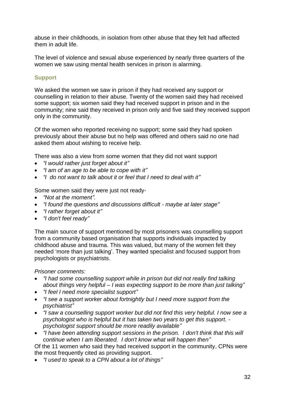abuse in their childhoods, in isolation from other abuse that they felt had affected them in adult life.

The level of violence and sexual abuse experienced by nearly three quarters of the women we saw using mental health services in prison is alarming.

### **Support**

We asked the women we saw in prison if they had received any support or counselling in relation to their abuse. Twenty of the women said they had received some support; six women said they had received support in prison and in the community; nine said they received in prison only and five said they received support only in the community.

Of the women who reported receiving no support; some said they had spoken previously about their abuse but no help was offered and others said no one had asked them about wishing to receive help.

There was also a view from some women that they did not want support

- *"I would rather just forget about it"*
- *"I am of an age to be able to cope with it"*
- *"I do not want to talk about it or feel that I need to deal with it"*

Some women said they were just not ready-

- *"Not at the moment".*
- *"I found the questions and discussions difficult - maybe at later stage"*
- *"I rather forget about it"*
- *"I don't feel ready"*

The main source of support mentioned by most prisoners was counselling support from a community based organisation that supports individuals impacted by childhood abuse and trauma. This was valued, but many of the women felt they needed 'more than just talking'. They wanted specialist and focused support from psychologists or psychiatrists.

*Prisoner comments:*

- *"I had some counselling support while in prison but did not really find talking about things very helpful – I was expecting support to be more than just talking"*
- *"I feel I need more specialist support"*
- *"I see a support worker about fortnightly but I need more support from the psychiatrist"*
- *"I saw a counselling support worker but did not find this very helpful. I now see a psychologist who is helpful but it has taken two years to get this support. psychologist support should be more readily available"*
- *"I have been attending support sessions in the prison. I don't think that this will continue when I am liberated. I don't know what will happen then"*

Of the 11 women who said they had received support in the community, CPNs were the most frequently cited as providing support.

*"I used to speak to a CPN about a lot of things"*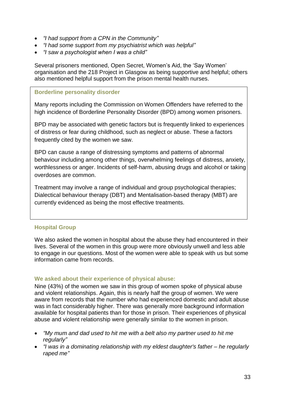- *"I had support from a CPN in the Community"*
- *"I had some support from my psychiatrist which was helpful"*
- *"I saw a psychologist when I was a child"*

Several prisoners mentioned, Open Secret, Women's Aid, the 'Say Women' organisation and the 218 Project in Glasgow as being supportive and helpful; others also mentioned helpful support from the prison mental health nurses.

### **Borderline personality disorder**

Many reports including the Commission on Women Offenders have referred to the high incidence of Borderline Personality Disorder (BPD) among women prisoners.

BPD may be associated with genetic factors but is frequently linked to experiences of distress or fear during childhood, such as neglect or abuse. These a factors frequently cited by the women we saw.

BPD can cause a range of distressing symptoms and patterns of abnormal behaviour including among other things, overwhelming feelings of distress, anxiety, worthlessness or anger. Incidents of self-harm, abusing drugs and alcohol or taking overdoses are common.

Treatment may involve a range of individual and group psychological therapies; Dialectical behaviour therapy (DBT) and Mentalisation-based therapy (MBT) are currently evidenced as being the most effective treatments.

## **Hospital Group**

We also asked the women in hospital about the abuse they had encountered in their lives. Several of the women in this group were more obviously unwell and less able to engage in our questions. Most of the women were able to speak with us but some information came from records.

## **We asked about their experience of physical abuse:**

Nine (43%) of the women we saw in this group of women spoke of physical abuse and violent relationships. Again, this is nearly half the group of women. We were aware from records that the number who had experienced domestic and adult abuse was in fact considerably higher. There was generally more background information available for hospital patients than for those in prison. Their experiences of physical abuse and violent relationship were generally similar to the women in prison.

- *"My mum and dad used to hit me with a belt also my partner used to hit me regularly"*
- *"I was in a dominating relationship with my eldest daughter's father – he regularly raped me"*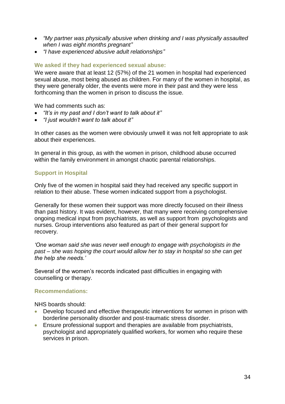- *"My partner was physically abusive when drinking and I was physically assaulted when I was eight months pregnant"*
- *"I have experienced abusive adult relationships"*

## **We asked if they had experienced sexual abuse:**

We were aware that at least 12 (57%) of the 21 women in hospital had experienced sexual abuse, most being abused as children. For many of the women in hospital, as they were generally older, the events were more in their past and they were less forthcoming than the women in prison to discuss the issue.

We had comments such as:

- *"It's in my past and I don't want to talk about it"*
- *"I just wouldn't want to talk about it"*

In other cases as the women were obviously unwell it was not felt appropriate to ask about their experiences.

In general in this group, as with the women in prison, childhood abuse occurred within the family environment in amongst chaotic parental relationships.

## **Support in Hospital**

Only five of the women in hospital said they had received any specific support in relation to their abuse. These women indicated support from a psychologist.

Generally for these women their support was more directly focused on their illness than past history. It was evident, however, that many were receiving comprehensive ongoing medical input from psychiatrists, as well as support from psychologists and nurses. Group interventions also featured as part of their general support for recovery.

*'One woman said she was never well enough to engage with psychologists in the past – she was hoping the court would allow her to stay in hospital so she can get the help she needs.'*

Several of the women's records indicated past difficulties in engaging with counselling or therapy.

### **Recommendations:**

NHS boards should:

- Develop focused and effective therapeutic interventions for women in prison with borderline personality disorder and post-traumatic stress disorder.
- Ensure professional support and therapies are available from psychiatrists, psychologist and appropriately qualified workers, for women who require these services in prison.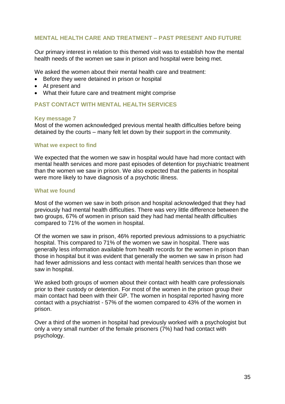### <span id="page-35-0"></span>**MENTAL HEALTH CARE AND TREATMENT – PAST PRESENT AND FUTURE**

Our primary interest in relation to this themed visit was to establish how the mental health needs of the women we saw in prison and hospital were being met.

We asked the women about their mental health care and treatment:

- Before they were detained in prison or hospital
- At present and
- What their future care and treatment might comprise

### <span id="page-35-1"></span>**PAST CONTACT WITH MENTAL HEALTH SERVICES**

#### **Key message 7**

Most of the women acknowledged previous mental health difficulties before being detained by the courts – many felt let down by their support in the community.

#### **What we expect to find**

We expected that the women we saw in hospital would have had more contact with mental health services and more past episodes of detention for psychiatric treatment than the women we saw in prison. We also expected that the patients in hospital were more likely to have diagnosis of a psychotic illness.

#### **What we found**

Most of the women we saw in both prison and hospital acknowledged that they had previously had mental health difficulties. There was very little difference between the two groups, 67% of women in prison said they had had mental health difficulties compared to 71% of the women in hospital.

Of the women we saw in prison, 46% reported previous admissions to a psychiatric hospital. This compared to 71% of the women we saw in hospital. There was generally less information available from health records for the women in prison than those in hospital but it was evident that generally the women we saw in prison had had fewer admissions and less contact with mental health services than those we saw in hospital.

We asked both groups of women about their contact with health care professionals prior to their custody or detention. For most of the women in the prison group their main contact had been with their GP. The women in hospital reported having more contact with a psychiatrist - 57% of the women compared to 43% of the women in prison.

Over a third of the women in hospital had previously worked with a psychologist but only a very small number of the female prisoners (7%) had had contact with psychology.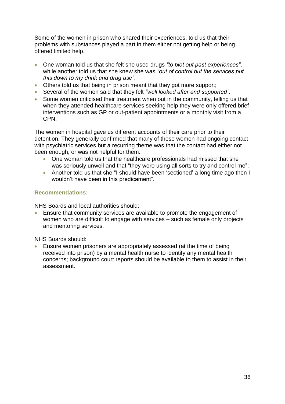Some of the women in prison who shared their experiences, told us that their problems with substances played a part in them either not getting help or being offered limited help.

- One woman told us that she felt she used drugs *"to blot out past experiences"*, while another told us that she knew she was *"out of control but the services put this down to my drink and drug use"*.
- Others told us that being in prison meant that they got more support;
- Several of the women said that they felt *"well looked after and supported"*.
- Some women criticised their treatment when out in the community, telling us that when they attended healthcare services seeking help they were only offered brief interventions such as GP or out-patient appointments or a monthly visit from a CPN.

The women in hospital gave us different accounts of their care prior to their detention. They generally confirmed that many of these women had ongoing contact with psychiatric services but a recurring theme was that the contact had either not been enough, or was not helpful for them.

- One woman told us that the healthcare professionals had missed that she was seriously unwell and that "they were using all sorts to try and control me";
- Another told us that she "I should have been 'sectioned' a long time ago then I wouldn't have been in this predicament".

### **Recommendations:**

NHS Boards and local authorities should:

 Ensure that community services are available to promote the engagement of women who are difficult to engage with services – such as female only projects and mentoring services.

NHS Boards should:

 Ensure women prisoners are appropriately assessed (at the time of being received into prison) by a mental health nurse to identify any mental health concerns; background court reports should be available to them to assist in their assessment.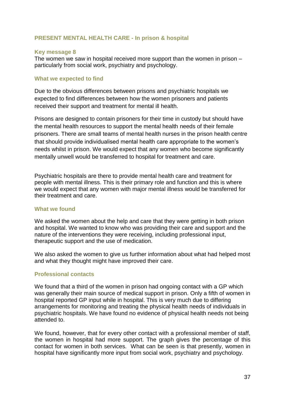### <span id="page-37-0"></span>**PRESENT MENTAL HEALTH CARE - In prison & hospital**

#### **Key message 8**

The women we saw in hospital received more support than the women in prison – particularly from social work, psychiatry and psychology.

#### **What we expected to find**

Due to the obvious differences between prisons and psychiatric hospitals we expected to find differences between how the women prisoners and patients received their support and treatment for mental ill health.

Prisons are designed to contain prisoners for their time in custody but should have the mental health resources to support the mental health needs of their female prisoners. There are small teams of mental health nurses in the prison health centre that should provide individualised mental health care appropriate to the women's needs whilst in prison. We would expect that any women who become significantly mentally unwell would be transferred to hospital for treatment and care.

Psychiatric hospitals are there to provide mental health care and treatment for people with mental illness. This is their primary role and function and this is where we would expect that any women with major mental illness would be transferred for their treatment and care.

#### **What we found**

We asked the women about the help and care that they were getting in both prison and hospital. We wanted to know who was providing their care and support and the nature of the interventions they were receiving, including professional input, therapeutic support and the use of medication.

We also asked the women to give us further information about what had helped most and what they thought might have improved their care.

### **Professional contacts**

We found that a third of the women in prison had ongoing contact with a GP which was generally their main source of medical support in prison. Only a fifth of women in hospital reported GP input while in hospital. This is very much due to differing arrangements for monitoring and treating the physical health needs of individuals in psychiatric hospitals. We have found no evidence of physical health needs not being attended to.

We found, however, that for every other contact with a professional member of staff, the women in hospital had more support. The graph gives the percentage of this contact for women in both services. What can be seen is that presently, women in hospital have significantly more input from social work, psychiatry and psychology.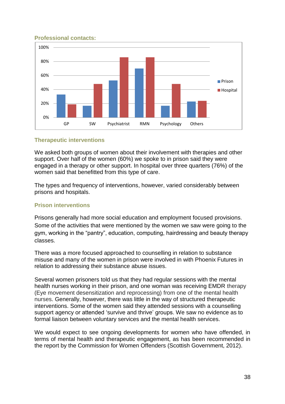### **Professional contacts:**



### **Therapeutic interventions**

We asked both groups of women about their involvement with therapies and other support. Over half of the women (60%) we spoke to in prison said they were engaged in a therapy or other support. In hospital over three quarters (76%) of the women said that benefitted from this type of care.

The types and frequency of interventions, however, varied considerably between prisons and hospitals.

## **Prison interventions**

Prisons generally had more social education and employment focused provisions. Some of the activities that were mentioned by the women we saw were going to the gym, working in the "pantry", education, computing, hairdressing and beauty therapy classes.

There was a more focused approached to counselling in relation to substance misuse and many of the women in prison were involved in with Phoenix Futures in relation to addressing their substance abuse issues.

Several women prisoners told us that they had regular sessions with the mental health nurses working in their prison, and one woman was receiving EMDR therapy (Eye movement desensitization and reprocessing) from one of the mental health nurses. Generally, however, there was little in the way of structured therapeutic interventions. Some of the women said they attended sessions with a counselling support agency or attended 'survive and thrive' groups. We saw no evidence as to formal liaison between voluntary services and the mental health services.

We would expect to see ongoing developments for women who have offended, in terms of mental health and therapeutic engagement, as has been recommended in the report by the Commission for Women Offenders (Scottish Government, 2012).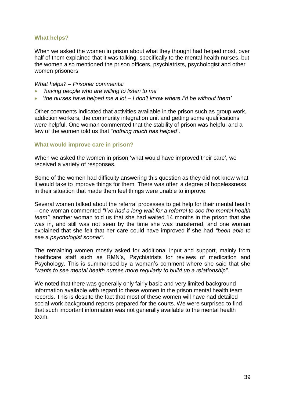### **What helps?**

When we asked the women in prison about what they thought had helped most, over half of them explained that it was talking, specifically to the mental health nurses, but the women also mentioned the prison officers, psychiatrists, psychologist and other women prisoners.

*What helps? – Prisoner comments:*

- *'having people who are willing to listen to me'*
- '*the nurses have helped me a lot – I don't know where I'd be without them'*

Other comments indicated that activities available in the prison such as group work, addiction workers, the community integration unit and getting some qualifications were helpful. One woman commented that the stability of prison was helpful and a few of the women told us that *"nothing much has helped".*

### **What would improve care in prison?**

When we asked the women in prison 'what would have improved their care', we received a variety of responses.

Some of the women had difficulty answering this question as they did not know what it would take to improve things for them. There was often a degree of hopelessness in their situation that made them feel things were unable to improve.

Several women talked about the referral processes to get help for their mental health – one woman commented *"I've had a long wait for a referral to see the mental health team"*; another woman told us that she had waited 14 months in the prison that she was in, and still was not seen by the time she was transferred, and one woman explained that she felt that her care could have improved if she had *"been able to see a psychologist sooner"*.

The remaining women mostly asked for additional input and support, mainly from healthcare staff such as RMN's, Psychiatrists for reviews of medication and Psychology. This is summarised by a woman's comment where she said that she *"wants to see mental health nurses more regularly to build up a relationship".*

We noted that there was generally only fairly basic and very limited background information available with regard to these women in the prison mental health team records. This is despite the fact that most of these women will have had detailed social work background reports prepared for the courts. We were surprised to find that such important information was not generally available to the mental health team.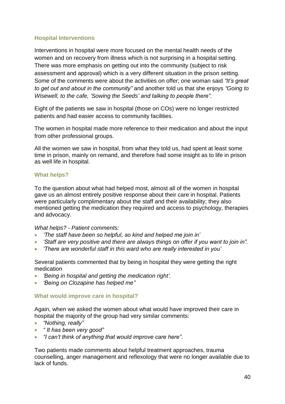### **Hospital Interventions**

Interventions in hospital were more focused on the mental health needs of the women and on recovery from illness which is not surprising in a hospital setting. There was more emphasis on getting out into the community (subject to risk assessment and approval) which is a very different situation in the prison setting. Some of the comments were about the activities on offer; one woman said *"It's great to get out and about in the community"* and another told us that she enjoys *"Going to Wisewell, to the cafe, 'Sowing the Seeds' and talking to people there".* 

Eight of the patients we saw in hospital (those on COs) were no longer restricted patients and had easier access to community facilities.

The women in hospital made more reference to their medication and about the input from other professional groups.

All the women we saw in hospital, from what they told us, had spent at least some time in prison, mainly on remand, and therefore had some insight as to life in prison as well life in hospital.

### **What helps?**

To the question about what had helped most, almost all of the women in hospital gave us an almost entirely positive response about their care in hospital. Patients were particularly complimentary about the staff and their availability; they also mentioned getting the medication they required and access to psychology, therapies and advocacy.

### *What helps? - Patient comments:*

- *'The staff have been so helpful, so kind and helped me join in'*
- *'Staff are very positive and there are always things on offer if you want to join in".*
- *'There are wonderful staff in this ward who are really interested in you'*

Several patients commented that by being in hospital they were getting the right medication

- *'Being in hospital and getting the medication right'.*
- *'Being on Clozapine has helped me"*

### **What would improve care in hospital?**

Again, when we asked the women about what would have improved their care in hospital the majority of the group had very similar comments:

- *"Nothing, really"*
- *" It has been very good"*
- *"I can't think of anything that would improve care here"*.

Two patients made comments about helpful treatment approaches, trauma counselling, anger management and reflexology that were no longer available due to lack of funds.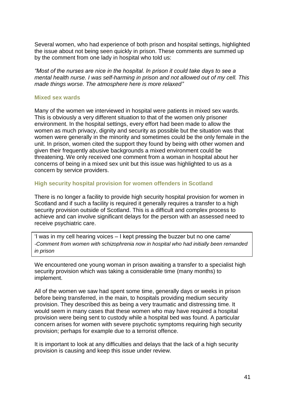Several women, who had experience of both prison and hospital settings, highlighted the issue about not being seen quickly in prison. These comments are summed up by the comment from one lady in hospital who told us:

*"Most of the nurses are nice in the hospital. In prison it could take days to see a mental health nurse. I was self-harming in prison and not allowed out of my cell. This made things worse. The atmosphere here is more relaxed"* 

#### **Mixed sex wards**

Many of the women we interviewed in hospital were patients in mixed sex wards. This is obviously a very different situation to that of the women only prisoner environment. In the hospital settings, every effort had been made to allow the women as much privacy, dignity and security as possible but the situation was that women were generally in the minority and sometimes could be the only female in the unit. In prison, women cited the support they found by being with other women and given their frequently abusive backgrounds a mixed environment could be threatening. We only received one comment from a woman in hospital about her concerns of being in a mixed sex unit but this issue was highlighted to us as a concern by service providers.

#### **High security hospital provision for women offenders in Scotland**

There is no longer a facility to provide high security hospital provision for women in Scotland and if such a facility is required it generally requires a transfer to a high security provision outside of Scotland. This is a difficult and complex process to achieve and can involve significant delays for the person with an assessed need to receive psychiatric care.

'I was in my cell hearing voices – I kept pressing the buzzer but no one came' *-Comment from women with schizophrenia now in hospital who had initially been remanded in prison*

We encountered one young woman in prison awaiting a transfer to a specialist high security provision which was taking a considerable time (many months) to implement.

All of the women we saw had spent some time, generally days or weeks in prison before being transferred, in the main, to hospitals providing medium security provision. They described this as being a very traumatic and distressing time. It would seem in many cases that these women who may have required a hospital provision were being sent to custody while a hospital bed was found. A particular concern arises for women with severe psychotic symptoms requiring high security provision; perhaps for example due to a terrorist offence.

It is important to look at any difficulties and delays that the lack of a high security provision is causing and keep this issue under review.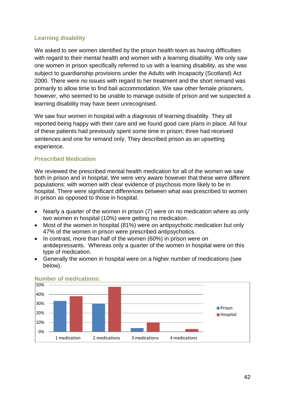## **Learning disability**

We asked to see women identified by the prison health team as having difficulties with regard to their mental health and women with a learning disability. We only saw one women in prison specifically referred to us with a learning disability, as she was subject to guardianship provisions under the Adults with Incapacity (Scotland) Act 2000. There were no issues with regard to her treatment and the short remand was primarily to allow time to find bail accommodation. We saw other female prisoners, however, who seemed to be unable to manage outside of prison and we suspected a learning disability may have been unrecognised.

We saw four women in hospital with a diagnosis of learning disability. They all reported being happy with their care and we found good care plans in place. All four of these patients had previously spent some time in prison; three had received sentences and one for remand only. They described prison as an upsetting experience.

## **Prescribed Medication**

We reviewed the prescribed mental health medication for all of the women we saw both in prison and in hospital. We were very aware however that these were different populations: with women with clear evidence of psychosis more likely to be in hospital. There were significant differences between what was prescribed to women in prison as opposed to those in hospital.

- Nearly a quarter of the women in prison (7) were on no medication where as only two women in hospital (10%) were getting no medication.
- Most of the women in hospital (81%) were on antipsychotic medication but only 47% of the women in prison were prescribed antipsychotics.
- In contrast, more than half of the women (60%) in prison were on antidepressants. Whereas only a quarter of the women in hospital were on this type of medication.
- Generally the women in hospital were on a higher number of medications (see below).



### **Number of medications:**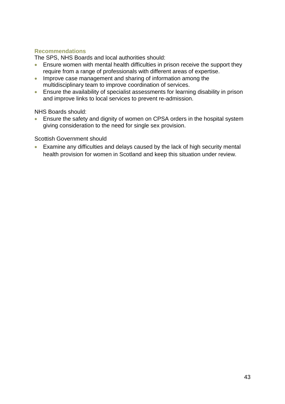## **Recommendations**

The SPS, NHS Boards and local authorities should:

- Ensure women with mental health difficulties in prison receive the support they require from a range of professionals with different areas of expertise.
- Improve case management and sharing of information among the multidisciplinary team to improve coordination of services.
- Ensure the availability of specialist assessments for learning disability in prison and improve links to local services to prevent re-admission.

NHS Boards should:

 Ensure the safety and dignity of women on CPSA orders in the hospital system giving consideration to the need for single sex provision.

Scottish Government should

 Examine any difficulties and delays caused by the lack of high security mental health provision for women in Scotland and keep this situation under review.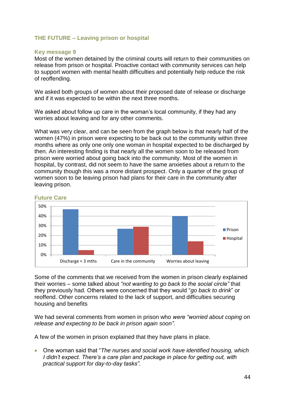### <span id="page-44-0"></span>**THE FUTURE – Leaving prison or hospital**

#### **Key message 9**

Most of the women detained by the criminal courts will return to their communities on release from prison or hospital. Proactive contact with community services can help to support women with mental health difficulties and potentially help reduce the risk of reoffending.

We asked both groups of women about their proposed date of release or discharge and if it was expected to be within the next three months.

We asked about follow up care in the woman's local community, if they had any worries about leaving and for any other comments.

What was very clear, and can be seen from the graph below is that nearly half of the women (47%) in prison were expecting to be back out to the community within three months where as only one only one woman in hospital expected to be discharged by then. An interesting finding is that nearly all the women soon to be released from prison were worried about going back into the community. Most of the women in hospital, by contrast, did not seem to have the same anxieties about a return to the community though this was a more distant prospect. Only a quarter of the group of women soon to be leaving prison had plans for their care in the community after leaving prison.



#### **Future Care**

Some of the comments that we received from the women in prison clearly explained their worries – some talked about *"not wanting to go back to the social circle"* that they previously had. Others were concerned that they would "*go back to drink*" or reoffend. Other concerns related to the lack of support, and difficulties securing housing and benefits

We had several comments from women in prison who *were "worried about coping on release and expecting to be back in prison again soon".* 

A few of the women in prison explained that they have plans in place.

 One woman said that "*The nurses and social work have identified housing, which I didn't expect. There's a care plan and package in place for getting out, with practical support for day-to-day tasks".*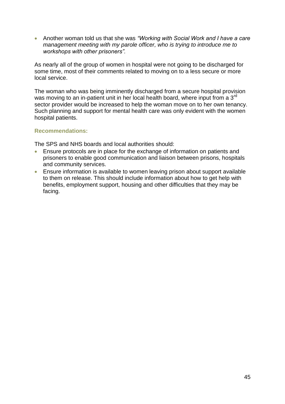Another woman told us that she was *"Working with Social Work and I have a care management meeting with my parole officer, who is trying to introduce me to workshops with other prisoners".*

As nearly all of the group of women in hospital were not going to be discharged for some time, most of their comments related to moving on to a less secure or more local service.

The woman who was being imminently discharged from a secure hospital provision was moving to an in-patient unit in her local health board, where input from a 3<sup>rd</sup> sector provider would be increased to help the woman move on to her own tenancy. Such planning and support for mental health care was only evident with the women hospital patients.

### **Recommendations:**

The SPS and NHS boards and local authorities should:

- Ensure protocols are in place for the exchange of information on patients and prisoners to enable good communication and liaison between prisons, hospitals and community services.
- Ensure information is available to women leaving prison about support available to them on release. This should include information about how to get help with benefits, employment support, housing and other difficulties that they may be facing.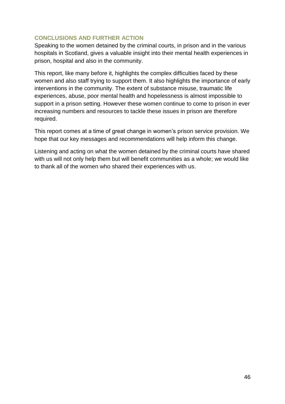### <span id="page-46-0"></span>**CONCLUSIONS AND FURTHER ACTION**

Speaking to the women detained by the criminal courts, in prison and in the various hospitals in Scotland, gives a valuable insight into their mental health experiences in prison, hospital and also in the community.

This report, like many before it, highlights the complex difficulties faced by these women and also staff trying to support them. It also highlights the importance of early interventions in the community. The extent of substance misuse, traumatic life experiences, abuse, poor mental health and hopelessness is almost impossible to support in a prison setting. However these women continue to come to prison in ever increasing numbers and resources to tackle these issues in prison are therefore required.

This report comes at a time of great change in women's prison service provision. We hope that our key messages and recommendations will help inform this change.

Listening and acting on what the women detained by the criminal courts have shared with us will not only help them but will benefit communities as a whole; we would like to thank all of the women who shared their experiences with us.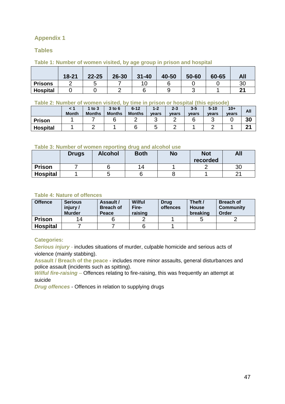## <span id="page-47-0"></span>**Appendix 1**

### **Tables**

#### **Table 1: Number of women visited, by age group in prison and hospital**

|                 | $18 - 21$ | $22 - 25$ | 26-30 | $31 - 40$ | 40-50 | 50-60 | 60-65 | All |
|-----------------|-----------|-----------|-------|-----------|-------|-------|-------|-----|
| <b>Prisons</b>  |           |           |       |           |       |       |       | 30  |
| <b>Hospital</b> |           |           |       |           |       |       |       | ີ   |

#### **Table 2: Number of women visited, by time in prison or hospital (this episode)**

|                 | <b>Month</b> | to $3$<br><b>Months</b> | $3$ to $6$<br><b>Months</b> | $6 - 12$<br><b>Months</b> | $1 - 2$<br>vears | $2 - 3$<br>vears | $3 - 5$<br>vears | $5 - 10$<br>vears | $10+$<br>vears | All    |
|-----------------|--------------|-------------------------|-----------------------------|---------------------------|------------------|------------------|------------------|-------------------|----------------|--------|
| <b>Prison</b>   |              |                         |                             |                           | ີ                | -                |                  |                   |                | 30     |
| <b>Hospital</b> |              |                         |                             |                           | ີ                |                  |                  |                   |                | $\sim$ |

#### **Table 3: Number of women reporting drug and alcohol use**

|                 | <b>Drugs</b> | <b>Alcohol</b> | <b>Both</b> | <b>No</b> | <b>Not</b><br>recorded | All |
|-----------------|--------------|----------------|-------------|-----------|------------------------|-----|
| <b>Prison</b>   |              |                | 14          |           |                        | 30  |
| <b>Hospital</b> |              |                |             |           |                        |     |

#### **Table 4: Nature of offences**

| <b>Offence</b>  | <b>Serious</b><br>injury/<br><b>Murder</b> | Assault /<br><b>Breach of</b><br>Peace | Wilful<br>Fire-<br>raising | <b>Drug</b><br>offences | Theft /<br><b>House</b><br>breaking | <b>Breach of</b><br><b>Community</b><br>Order |
|-----------------|--------------------------------------------|----------------------------------------|----------------------------|-------------------------|-------------------------------------|-----------------------------------------------|
| <b>Prison</b>   | 14                                         |                                        |                            |                         |                                     |                                               |
| <b>Hospital</b> |                                            |                                        |                            |                         |                                     |                                               |

### **Categories:**

*Serious injury* - includes situations of murder, culpable homicide and serious acts of violence (mainly stabbing).

**Assault / Breach of the peace** - includes more minor assaults, general disturbances and police assault (incidents such as spitting).

*Wilful fire-raising* – Offences relating to fire-raising, this was frequently an attempt at suicide

*Drug offences* - Offences in relation to supplying drugs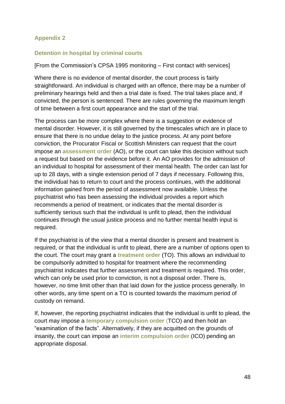## <span id="page-48-0"></span>**Appendix 2**

## **Detention in hospital by criminal courts**

### [From the Commission's CPSA 1995 monitoring – First contact with services]

Where there is no evidence of mental disorder, the court process is fairly straightforward. An individual is charged with an offence, there may be a number of preliminary hearings held and then a trial date is fixed. The trial takes place and, if convicted, the person is sentenced. There are rules governing the maximum length of time between a first court appearance and the start of the trial.

The process can be more complex where there is a suggestion or evidence of mental disorder. However, it is still governed by the timescales which are in place to ensure that there is no undue delay to the justice process. At any point before conviction, the Procurator Fiscal or Scottish Ministers can request that the court impose an **assessment order** (AO), or the court can take this decision without such a request but based on the evidence before it. An AO provides for the admission of an individual to hospital for assessment of their mental health. The order can last for up to 28 days, with a single extension period of 7 days if necessary. Following this, the individual has to return to court and the process continues, with the additional information gained from the period of assessment now available. Unless the psychiatrist who has been assessing the individual provides a report which recommends a period of treatment, or indicates that the mental disorder is sufficiently serious such that the individual is unfit to plead, then the individual continues through the usual justice process and no further mental health input is required.

If the psychiatrist is of the view that a mental disorder is present and treatment is required, or that the individual is unfit to plead, there are a number of options open to the court. The court may grant a **treatment order** (TO). This allows an individual to be compulsorily admitted to hospital for treatment where the recommending psychiatrist indicates that further assessment and treatment is required. This order, which can only be used prior to conviction, is not a disposal order. There is, however, no time limit other than that laid down for the justice process generally. In other words, any time spent on a TO is counted towards the maximum period of custody on remand.

If, however, the reporting psychiatrist indicates that the individual is unfit to plead, the court may impose a **temporary compulsion order** (TCO) and then hold an "examination of the facts". Alternatively, if they are acquitted on the grounds of insanity, the court can impose an **interim compulsion order** (ICO) pending an appropriate disposal.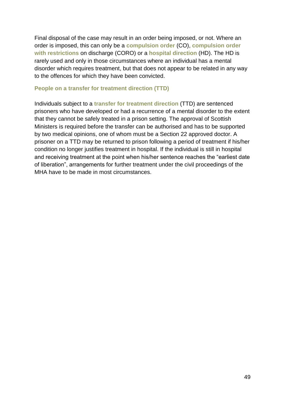Final disposal of the case may result in an order being imposed, or not. Where an order is imposed, this can only be a **compulsion order** (CO), **compulsion order with restrictions** on discharge (CORO) or a **hospital direction** (HD). The HD is rarely used and only in those circumstances where an individual has a mental disorder which requires treatment, but that does not appear to be related in any way to the offences for which they have been convicted.

### **People on a transfer for treatment direction (TTD)**

Individuals subject to a **transfer for treatment direction** (TTD) are sentenced prisoners who have developed or had a recurrence of a mental disorder to the extent that they cannot be safely treated in a prison setting. The approval of Scottish Ministers is required before the transfer can be authorised and has to be supported by two medical opinions, one of whom must be a Section 22 approved doctor. A prisoner on a TTD may be returned to prison following a period of treatment if his/her condition no longer justifies treatment in hospital. If the individual is still in hospital and receiving treatment at the point when his/her sentence reaches the "earliest date of liberation", arrangements for further treatment under the civil proceedings of the MHA have to be made in most circumstances.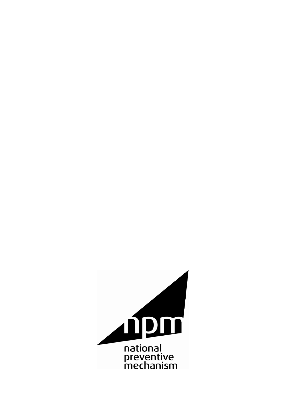